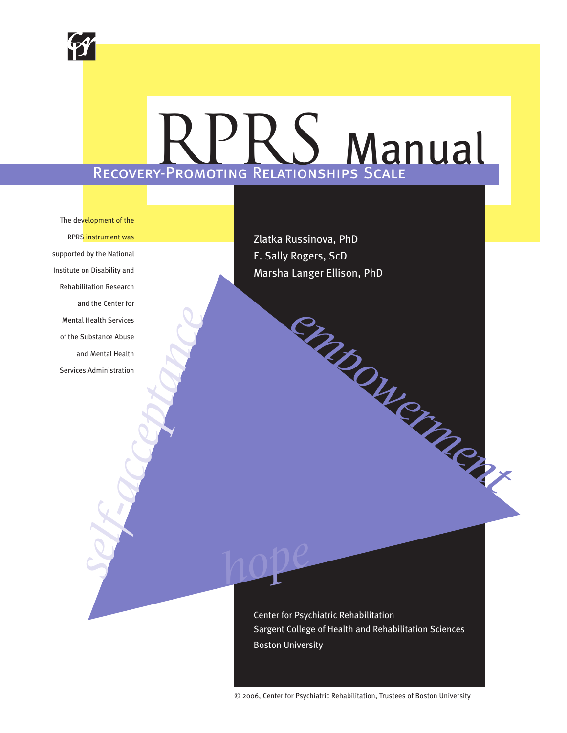

# Recovery-Promoting Relationships Scale RPRS Manual

*hope*

The development of the RPRS instrument was supported by the National Institute on Disability and Rehabilitation Research and the Center for Mental Health Services of the Substance Abuse and Mental Health Services Administration Health Services<br>iubstance Abuse<br>of Mental Health<br>s Administration<br>and the services<br>and Mental Health<br>and Mental Health<br>and the services<br>and the services<br>and the services of the services of the services of the services of t

Zlatka Russinova, PhD E. Sally Rogers, ScD Marsha Langer Ellison, PhD

Center for Psychiatric Rehabilitation Sargent College of Health and Rehabilitation Sciences Boston University

*empowerment*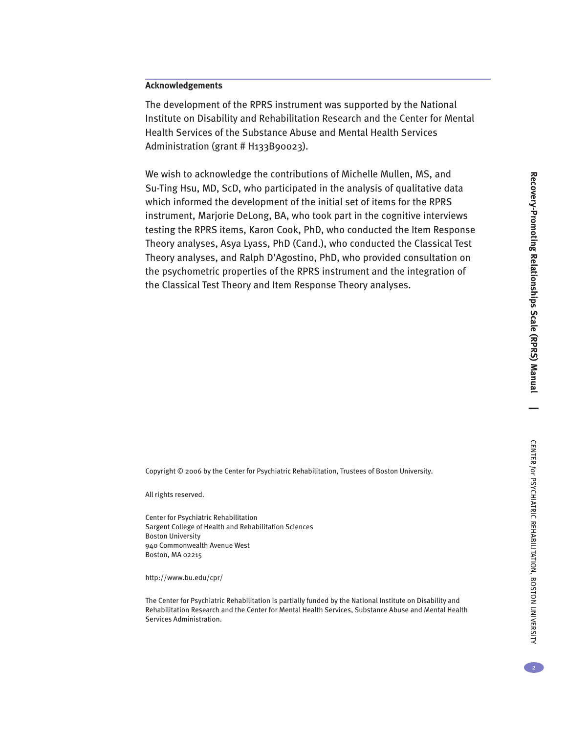The development of the RPRS instrument was supported by the National Institute on Disability and Rehabilitation Research and the Center for Mental Health Services of the Substance Abuse and Mental Health Services Administration (grant # H133B90023).

We wish to acknowledge the contributions of Michelle Mullen, MS, and Su-Ting Hsu, MD, ScD, who participated in the analysis of qualitative data which informed the development of the initial set of items for the RPRS instrument, Marjorie DeLong, BA, who took part in the cognitive interviews testing the RPRS items, Karon Cook, PhD, who conducted the Item Response Theory analyses, Asya Lyass, PhD (Cand.), who conducted the Classical Test Theory analyses, and Ralph D'Agostino, PhD, who provided consultation on the psychometric properties of the RPRS instrument and the integration of the Classical Test Theory and Item Response Theory analyses.

Copyright © 2006 by the Center for Psychiatric Rehabilitation, Trustees of Boston University.

All rights reserved.

Center for Psychiatric Rehabilitation Sargent College of Health and Rehabilitation Sciences Boston University 940 Commonwealth Avenue West Boston, MA 02215

http://www.bu.edu/cpr/

The Center for Psychiatric Rehabilitation is partially funded by the National Institute on Disability and Rehabilitation Research and the Center for Mental Health Services, Substance Abuse and Mental Health Services Administration.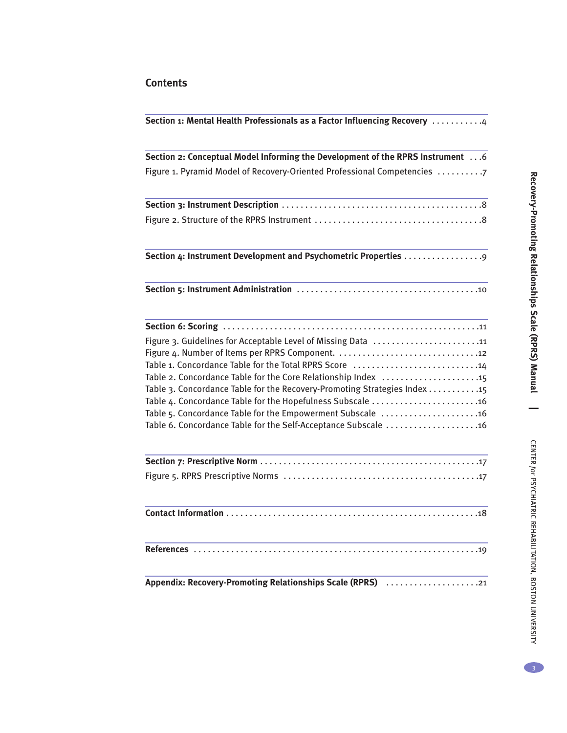# **Contents**

| Section 1: Mental Health Professionals as a Factor Influencing Recovery 4                                                      |
|--------------------------------------------------------------------------------------------------------------------------------|
| Section 2: Conceptual Model Informing the Development of the RPRS Instrument 6                                                 |
| Figure 1. Pyramid Model of Recovery-Oriented Professional Competencies 7                                                       |
|                                                                                                                                |
|                                                                                                                                |
| Section 4: Instrument Development and Psychometric Properties                                                                  |
|                                                                                                                                |
|                                                                                                                                |
| Figure 3. Guidelines for Acceptable Level of Missing Data 11                                                                   |
|                                                                                                                                |
| Table 1. Concordance Table for the Total RPRS Score 14                                                                         |
| Table 2. Concordance Table for the Core Relationship Index 15                                                                  |
| Table 3. Concordance Table for the Recovery-Promoting Strategies Index 15                                                      |
| Table 4. Concordance Table for the Hopefulness Subscale  16                                                                    |
| Table 5. Concordance Table for the Empowerment Subscale  16<br>Table 6. Concordance Table for the Self-Acceptance Subscale  16 |
|                                                                                                                                |
|                                                                                                                                |
|                                                                                                                                |
|                                                                                                                                |
| Appendix: Recovery-Promoting Relationships Scale (RPRS) 21                                                                     |

3

CENTER

*for*

PSYCHIATRIC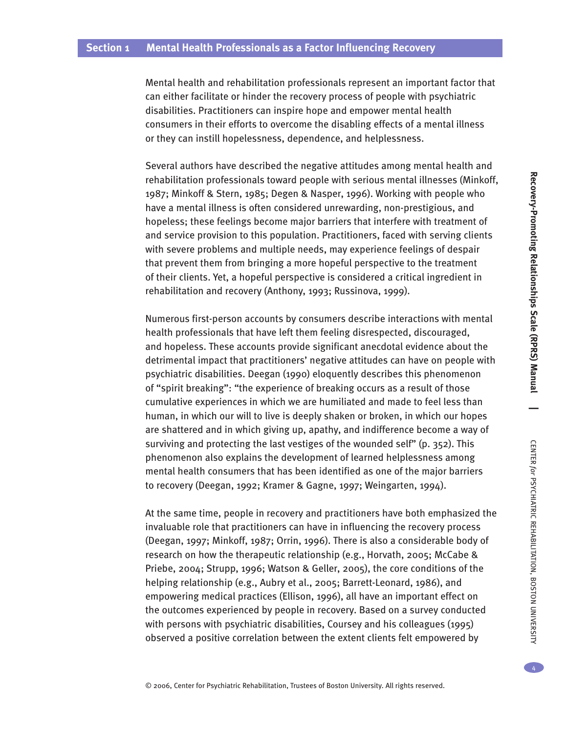Mental health and rehabilitation professionals represent an important factor that can either facilitate or hinder the recovery process of people with psychiatric disabilities. Practitioners can inspire hope and empower mental health consumers in their efforts to overcome the disabling effects of a mental illness or they can instill hopelessness, dependence, and helplessness.

Several authors have described the negative attitudes among mental health and rehabilitation professionals toward people with serious mental illnesses (Minkoff, 1987; Minkoff & Stern, 1985; Degen & Nasper, 1996). Working with people who have a mental illness is often considered unrewarding, non-prestigious, and hopeless; these feelings become major barriers that interfere with treatment of and service provision to this population. Practitioners, faced with serving clients with severe problems and multiple needs, may experience feelings of despair that prevent them from bringing a more hopeful perspective to the treatment of their clients. Yet, a hopeful perspective is considered a critical ingredient in rehabilitation and recovery (Anthony, 1993; Russinova, 1999).

Numerous first-person accounts by consumers describe interactions with mental health professionals that have left them feeling disrespected, discouraged, and hopeless. These accounts provide significant anecdotal evidence about the detrimental impact that practitioners' negative attitudes can have on people with psychiatric disabilities. Deegan (1990) eloquently describes this phenomenon of "spirit breaking": "the experience of breaking occurs as a result of those cumulative experiences in which we are humiliated and made to feel less than human, in which our will to live is deeply shaken or broken, in which our hopes are shattered and in which giving up, apathy, and indifference become a way of surviving and protecting the last vestiges of the wounded self" (p. 352). This phenomenon also explains the development of learned helplessness among mental health consumers that has been identified as one of the major barriers to recovery (Deegan, 1992; Kramer & Gagne, 1997; Weingarten, 1994).

At the same time, people in recovery and practitioners have both emphasized the invaluable role that practitioners can have in influencing the recovery process (Deegan, 1997; Minkoff, 1987; Orrin, 1996). There is also a considerable body of research on how the therapeutic relationship (e.g., Horvath, 2005; McCabe & Priebe, 2004; Strupp, 1996; Watson & Geller, 2005), the core conditions of the helping relationship (e.g., Aubry et al., 2005; Barrett-Leonard, 1986), and empowering medical practices (Ellison, 1996), all have an important effect on the outcomes experienced by people in recovery. Based on a survey conducted with persons with psychiatric disabilities, Coursey and his colleagues (1995) observed a positive correlation between the extent clients felt empowered by

**Reco**

**very-Pro m**

**oting**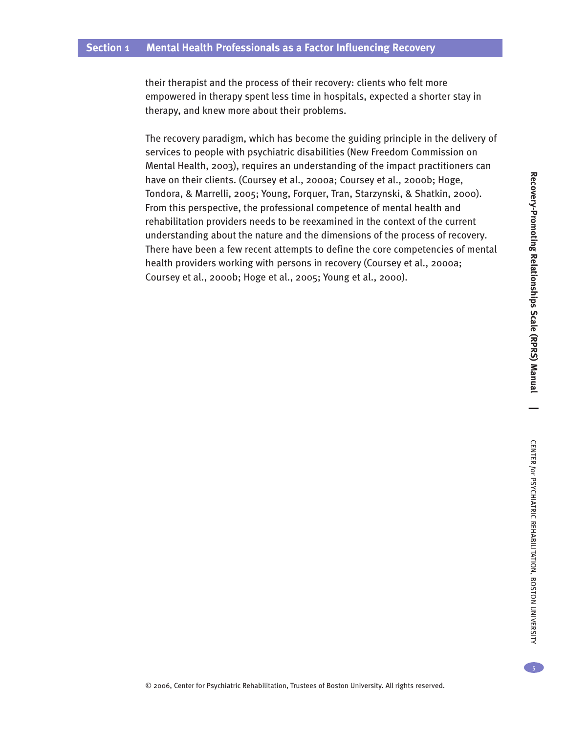their therapist and the process of their recovery: clients who felt more empowered in therapy spent less time in hospitals, expected a shorter stay in therapy, and knew more about their problems.

The recovery paradigm, which has become the guiding principle in the delivery of services to people with psychiatric disabilities (New Freedom Commission on Mental Health, 2003), requires an understanding of the impact practitioners can have on their clients. (Coursey et al., 2000a; Coursey et al., 2000b; Hoge, Tondora, & Marrelli, 2005; Young, Forquer, Tran, Starzynski, & Shatkin, 2000). From this perspective, the professional competence of mental health and rehabilitation providers needs to be reexamined in the context of the current understanding about the nature and the dimensions of the process of recovery. There have been a few recent attempts to define the core competencies of mental health providers working with persons in recovery (Coursey et al., 2000a; Coursey et al., 2000b; Hoge et al., 2005; Young et al., 2000).

UNIVERSITY

5

**Reco**

**very-Pro m**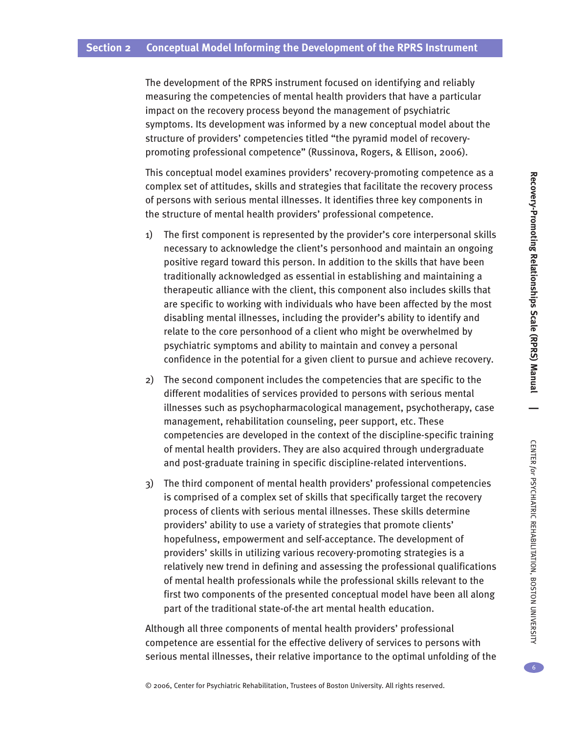The development of the RPRS instrument focused on identifying and reliably measuring the competencies of mental health providers that have a particular impact on the recovery process beyond the management of psychiatric symptoms. Its development was informed by a new conceptual model about the structure of providers' competencies titled "the pyramid model of recoverypromoting professional competence" (Russinova, Rogers, & Ellison, 2006).

This conceptual model examines providers' recovery-promoting competence as a complex set of attitudes, skills and strategies that facilitate the recovery process of persons with serious mental illnesses. It identifies three key components in the structure of mental health providers' professional competence.

- 1) The first component is represented by the provider's core interpersonal skills necessary to acknowledge the client's personhood and maintain an ongoing positive regard toward this person. In addition to the skills that have been traditionally acknowledged as essential in establishing and maintaining a therapeutic alliance with the client, this component also includes skills that are specific to working with individuals who have been affected by the most disabling mental illnesses, including the provider's ability to identify and relate to the core personhood of a client who might be overwhelmed by psychiatric symptoms and ability to maintain and convey a personal confidence in the potential for a given client to pursue and achieve recovery.
- 2) The second component includes the competencies that are specific to the different modalities of services provided to persons with serious mental illnesses such as psychopharmacological management, psychotherapy, case management, rehabilitation counseling, peer support, etc. These competencies are developed in the context of the discipline-specific training of mental health providers. They are also acquired through undergraduate and post-graduate training in specific discipline-related interventions.
- 3) The third component of mental health providers' professional competencies is comprised of a complex set of skills that specifically target the recovery process of clients with serious mental illnesses. These skills determine providers' ability to use a variety of strategies that promote clients' hopefulness, empowerment and self-acceptance. The development of providers' skills in utilizing various recovery-promoting strategies is a relatively new trend in defining and assessing the professional qualifications of mental health professionals while the professional skills relevant to the first two components of the presented conceptual model have been all along part of the traditional state-of-the art mental health education.

Although all three components of mental health providers' professional competence are essential for the effective delivery of services to persons with serious mental illnesses, their relative importance to the optimal unfolding of the **Reco**

REHABILITATION,

BOSTON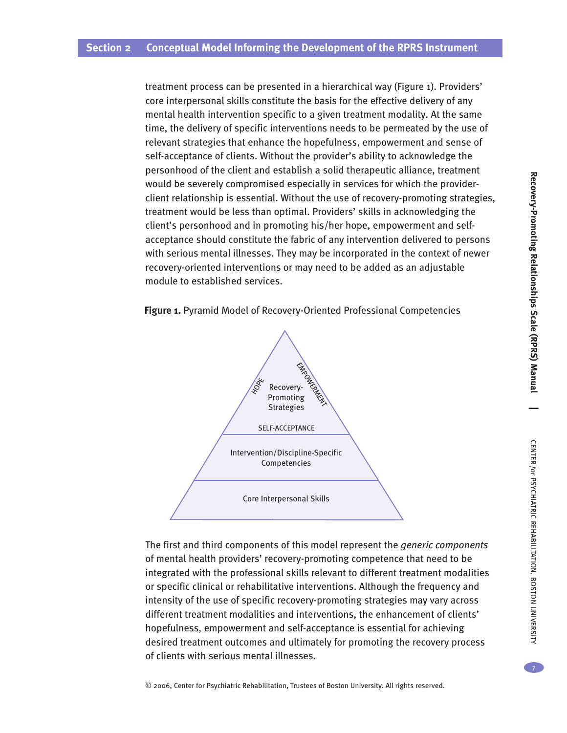treatment process can be presented in a hierarchical way (Figure 1). Providers' core interpersonal skills constitute the basis for the effective delivery of any mental health intervention specific to a given treatment modality. At the same time, the delivery of specific interventions needs to be permeated by the use of relevant strategies that enhance the hopefulness, empowerment and sense of self-acceptance of clients. Without the provider's ability to acknowledge the personhood of the client and establish a solid therapeutic alliance, treatment would be severely compromised especially in services for which the providerclient relationship is essential. Without the use of recovery-promoting strategies, treatment would be less than optimal. Providers' skills in acknowledging the client's personhood and in promoting his/her hope, empowerment and selfacceptance should constitute the fabric of any intervention delivered to persons with serious mental illnesses. They may be incorporated in the context of newer recovery-oriented interventions or may need to be added as an adjustable module to established services.





The first and third components of this model represent the *generic components* of mental health providers' recovery-promoting competence that need to be integrated with the professional skills relevant to different treatment modalities or specific clinical or rehabilitative interventions. Although the frequency and intensity of the use of specific recovery-promoting strategies may vary across different treatment modalities and interventions, the enhancement of clients' hopefulness, empowerment and self-acceptance is essential for achieving desired treatment outcomes and ultimately for promoting the recovery process of clients with serious mental illnesses.

REHABILITATION,

BOSTON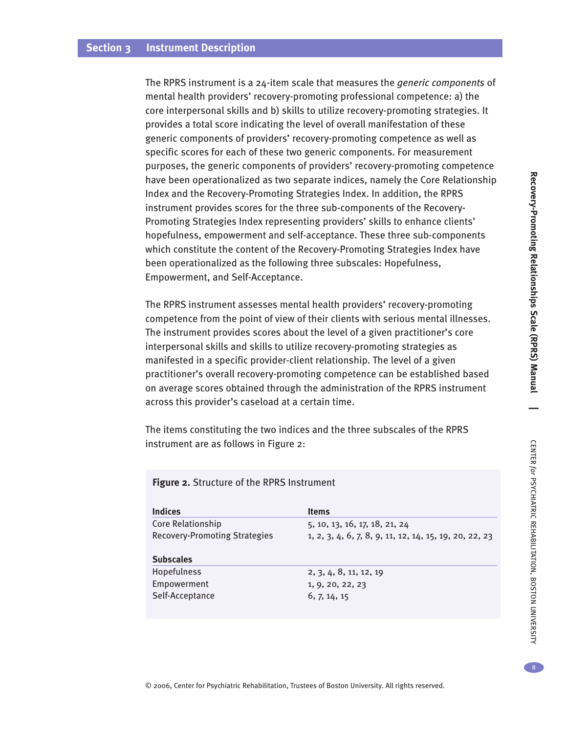The RPRS instrument is a 24-item scale that measures the *generic components* of mental health providers' recovery-promoting professional competence: a) the core interpersonal skills and b) skills to utilize recovery-promoting strategies. It provides a total score indicating the level of overall manifestation of these generic components of providers' recovery-promoting competence as well as specific scores for each of these two generic components. For measurement purposes, the generic components of providers' recovery-promoting competence have been operationalized as two separate indices, namely the Core Relationship Index and the Recovery-Promoting Strategies Index. In addition, the RPRS instrument provides scores for the three sub-components of the Recovery-Promoting Strategies Index representing providers' skills to enhance clients' hopefulness, empowerment and self-acceptance. These three sub-components which constitute the content of the Recovery-Promoting Strategies Index have been operationalized as the following three subscales: Hopefulness, Empowerment, and Self-Acceptance.

The RPRS instrument assesses mental health providers' recovery-promoting competence from the point of view of their clients with serious mental illnesses. The instrument provides scores about the level of a given practitioner's core interpersonal skills and skills to utilize recovery-promoting strategies as manifested in a specific provider-client relationship. The level of a given practitioner's overall recovery-promoting competence can be established based on average scores obtained through the administration of the RPRS instrument across this provider's caseload at a certain time.

The items constituting the two indices and the three subscales of the RPRS instrument are as follows in Figure 2:

#### **Figure 2.** Structure of the RPRS Instrument

| <b>Indices</b>                       | <b>Items</b>                                           |
|--------------------------------------|--------------------------------------------------------|
| Core Relationship                    | 5, 10, 13, 16, 17, 18, 21, 24                          |
| <b>Recovery-Promoting Strategies</b> | 1, 2, 3, 4, 6, 7, 8, 9, 11, 12, 14, 15, 19, 20, 22, 23 |
| <b>Subscales</b>                     |                                                        |
| Hopefulness                          | 2, 3, 4, 8, 11, 12, 19                                 |
| Empowerment                          | 1, 9, 20, 22, 23                                       |
| Self-Acceptance                      | 6, 7, 14, 15                                           |

PSYCHIATRIC

REHABILITATION,

BOSTON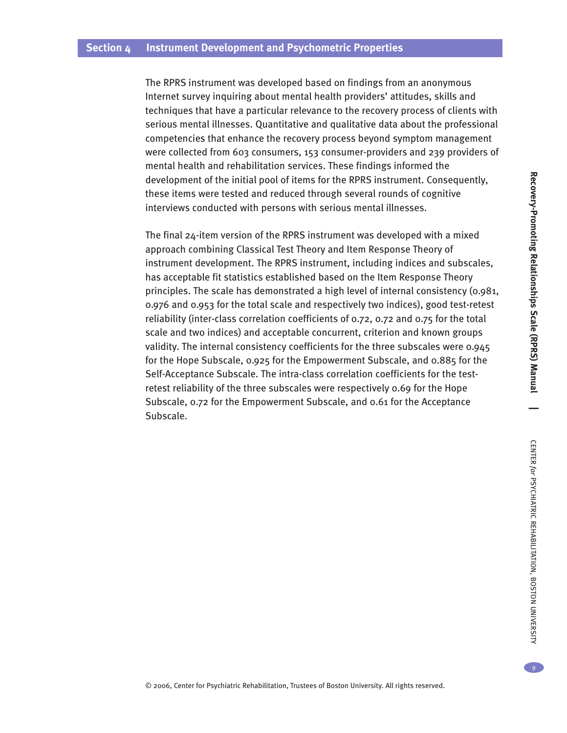The RPRS instrument was developed based on findings from an anonymous Internet survey inquiring about mental health providers' attitudes, skills and techniques that have a particular relevance to the recovery process of clients with serious mental illnesses. Quantitative and qualitative data about the professional competencies that enhance the recovery process beyond symptom management were collected from 603 consumers, 153 consumer-providers and 239 providers of mental health and rehabilitation services. These findings informed the development of the initial pool of items for the RPRS instrument. Consequently, these items were tested and reduced through several rounds of cognitive interviews conducted with persons with serious mental illnesses.

The final 24-item version of the RPRS instrument was developed with a mixed approach combining Classical Test Theory and Item Response Theory of instrument development. The RPRS instrument, including indices and subscales, has acceptable fit statistics established based on the Item Response Theory principles. The scale has demonstrated a high level of internal consistency (0.981, 0.976 and 0.953 for the total scale and respectively two indices), good test-retest reliability (inter-class correlation coefficients of 0.72, 0.72 and 0.75 for the total scale and two indices) and acceptable concurrent, criterion and known groups validity. The internal consistency coefficients for the three subscales were 0.945 for the Hope Subscale, 0.925 for the Empowerment Subscale, and 0.885 for the Self-Acceptance Subscale. The intra-class correlation coefficients for the testretest reliability of the three subscales were respectively 0.69 for the Hope Subscale, 0.72 for the Empowerment Subscale, and 0.61 for the Acceptance Subscale.

 $\begin{array}{c} \circ \\ 9 \end{array}$ 

REHABILITATION,

BOSTON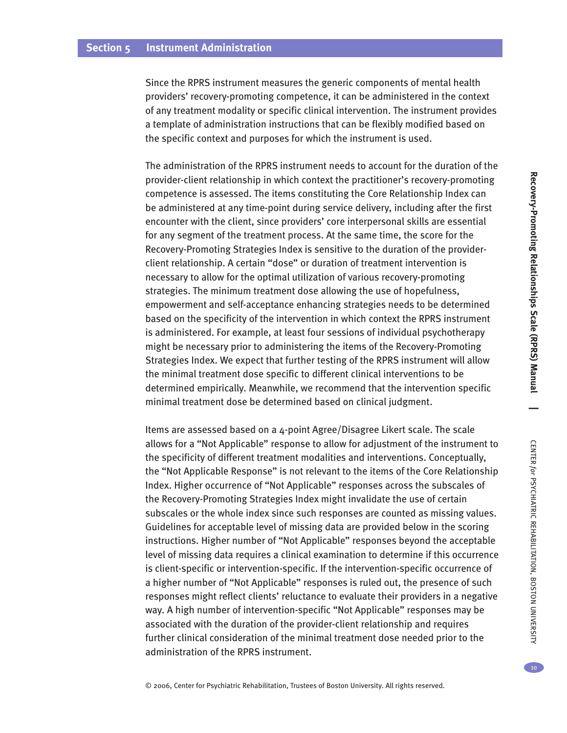Since the RPRS instrument measures the generic components of mental health providers' recovery-promoting competence, it can be administered in the context of any treatment modality or specific clinical intervention. The instrument provides a template of administration instructions that can be flexibly modified based on the specific context and purposes for which the instrument is used.

The administration of the RPRS instrument needs to account for the duration of the provider-client relationship in which context the practitioner's recovery-promoting competence is assessed. The items constituting the Core Relationship Index can be administered at any time-point during service delivery, including after the first encounter with the client, since providers' core interpersonal skills are essential for any segment of the treatment process. At the same time, the score for the Recovery-Promoting Strategies Index is sensitive to the duration of the providerclient relationship. A certain "dose" or duration of treatment intervention is necessary to allow for the optimal utilization of various recovery-promoting strategies. The minimum treatment dose allowing the use of hopefulness, empowerment and self-acceptance enhancing strategies needs to be determined based on the specificity of the intervention in which context the RPRS instrument is administered. For example, at least four sessions of individual psychotherapy might be necessary prior to administering the items of the Recovery-Promoting Strategies Index. We expect that further testing of the RPRS instrument will allow the minimal treatment dose specific to different clinical interventions to be determined empirically. Meanwhile, we recommend that the intervention specific minimal treatment dose be determined based on clinical judgment.

Items are assessed based on a 4-point Agree/Disagree Likert scale. The scale allows for a "Not Applicable" response to allow for adjustment of the instrument to the specificity of different treatment modalities and interventions. Conceptually, the "Not Applicable Response" is not relevant to the items of the Core Relationship Index. Higher occurrence of "Not Applicable" responses across the subscales of the Recovery-Promoting Strategies Index might invalidate the use of certain subscales or the whole index since such responses are counted as missing values. Guidelines for acceptable level of missing data are provided below in the scoring instructions. Higher number of "Not Applicable" responses beyond the acceptable level of missing data requires a clinical examination to determine if this occurrence is client-specific or intervention-specific. If the intervention-specific occurrence of a higher number of "Not Applicable" responses is ruled out, the presence of such responses might reflect clients' reluctance to evaluate their providers in a negative way. A high number of intervention-specific "Not Applicable" responses may be associated with the duration of the provider-client relationship and requires further clinical consideration of the minimal treatment dose needed prior to the administration of the RPRS instrument.

PSYCHIATRIC

REHABILITATION,

BOSTON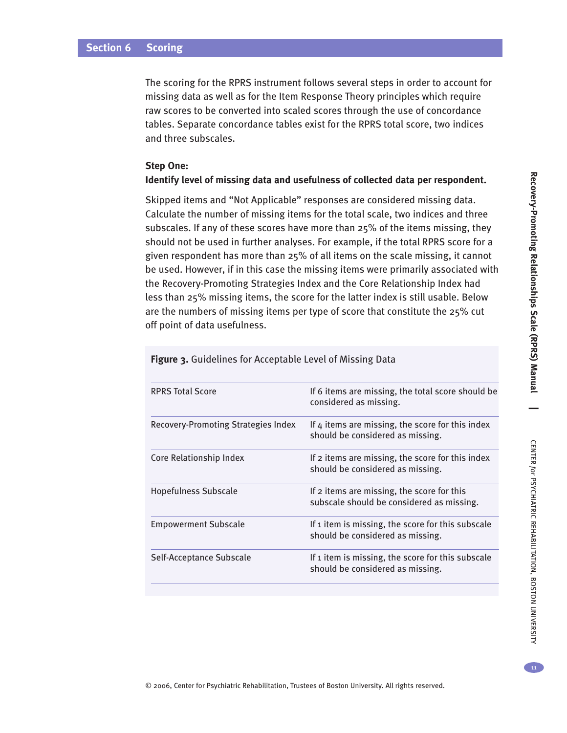The scoring for the RPRS instrument follows several steps in order to account for missing data as well as for the Item Response Theory principles which require raw scores to be converted into scaled scores through the use of concordance tables. Separate concordance tables exist for the RPRS total score, two indices and three subscales.

#### **Step One:**

#### **Identify level of missing data and usefulness of collected data per respondent.**

Skipped items and "Not Applicable" responses are considered missing data. Calculate the number of missing items for the total scale, two indices and three subscales. If any of these scores have more than 25% of the items missing, they should not be used in further analyses. For example, if the total RPRS score for a given respondent has more than 25% of all items on the scale missing, it cannot be used. However, if in this case the missing items were primarily associated with the Recovery-Promoting Strategies Index and the Core Relationship Index had less than 25% missing items, the score for the latter index is still usable. Below are the numbers of missing items per type of score that constitute the 25% cut off point of data usefulness.

| <b>RPRS Total Score</b>             | If 6 items are missing, the total score should be<br>considered as missing.             |
|-------------------------------------|-----------------------------------------------------------------------------------------|
| Recovery-Promoting Strategies Index | If 4 items are missing, the score for this index<br>should be considered as missing.    |
| Core Relationship Index             | If 2 items are missing, the score for this index<br>should be considered as missing.    |
| <b>Hopefulness Subscale</b>         | If 2 items are missing, the score for this<br>subscale should be considered as missing. |
| <b>Empowerment Subscale</b>         | If 1 item is missing, the score for this subscale<br>should be considered as missing.   |
| Self-Acceptance Subscale            | If 1 item is missing, the score for this subscale<br>should be considered as missing.   |
|                                     |                                                                                         |

**Figure 3.** Guidelines for Acceptable Level of Missing Data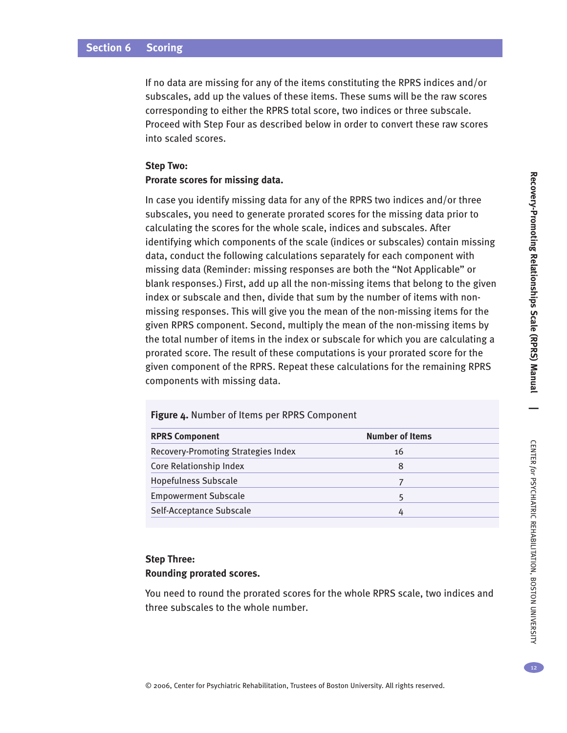#### **Section 6 Scoring**

If no data are missing for any of the items constituting the RPRS indices and/or subscales, add up the values of these items. These sums will be the raw scores corresponding to either the RPRS total score, two indices or three subscale. Proceed with Step Four as described below in order to convert these raw scores into scaled scores.

#### **Step Two: Prorate scores for missing data.**

In case you identify missing data for any of the RPRS two indices and/or three subscales, you need to generate prorated scores for the missing data prior to calculating the scores for the whole scale, indices and subscales. After identifying which components of the scale (indices or subscales) contain missing data, conduct the following calculations separately for each component with missing data (Reminder: missing responses are both the "Not Applicable" or blank responses.) First, add up all the non-missing items that belong to the given index or subscale and then, divide that sum by the number of items with nonmissing responses. This will give you the mean of the non-missing items for the given RPRS component. Second, multiply the mean of the non-missing items by the total number of items in the index or subscale for which you are calculating a prorated score. The result of these computations is your prorated score for the given component of the RPRS. Repeat these calculations for the remaining RPRS components with missing data.

| <b>RPRS Component</b>               | <b>Number of Items</b> |
|-------------------------------------|------------------------|
| Recovery-Promoting Strategies Index | 16                     |
| Core Relationship Index             | 8                      |
| <b>Hopefulness Subscale</b>         |                        |
| <b>Empowerment Subscale</b>         |                        |
| Self-Acceptance Subscale            |                        |

**Figure 4.** Number of Items per RPRS Component

# **Step Three: Rounding prorated scores.**

You need to round the prorated scores for the whole RPRS scale, two indices and three subscales to the whole number.

BOSTON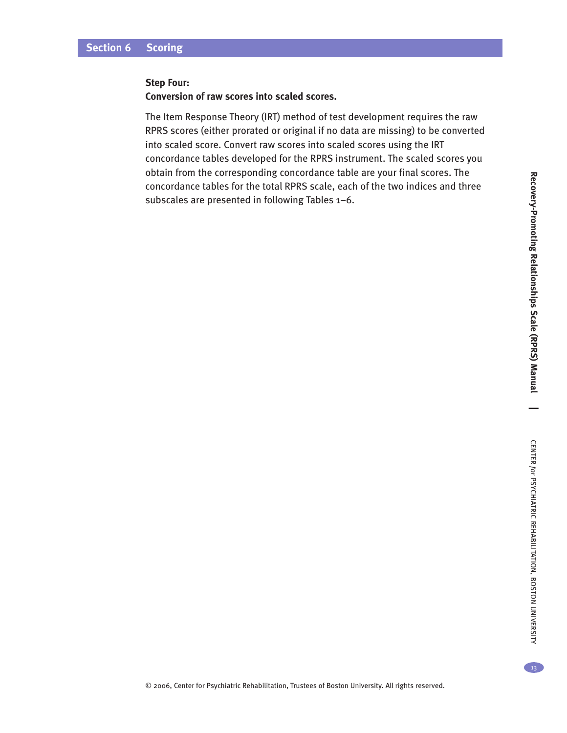#### **Step Four:**

#### **Conversion of raw scores into scaled scores.**

The Item Response Theory (IRT) method of test development requires the raw RPRS scores (either prorated or original if no data are missing) to be converted into scaled score. Convert raw scores into scaled scores using the IRT concordance tables developed for the RPRS instrument. The scaled scores you obtain from the corresponding concordance table are your final scores. The concordance tables for the total RPRS scale, each of the two indices and three subscales are presented in following Tables 1–6.

13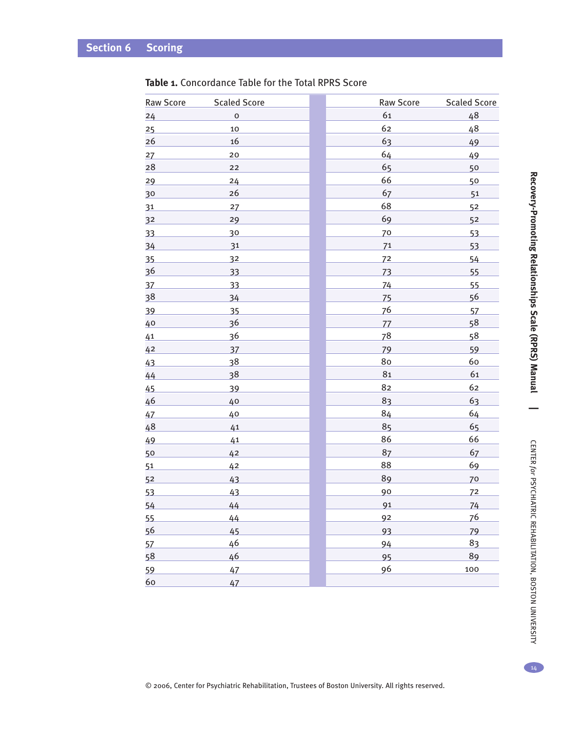| <b>Raw Score</b> | <b>Scaled Score</b> | Raw Score | <b>Scaled Score</b> |
|------------------|---------------------|-----------|---------------------|
| 24               | $\mathsf{o}$        | 61        | 48                  |
| 25               | 10                  | 62        | 48                  |
| 26               | 16                  | 63        | 49                  |
| 27               | $20\,$              | 64        | 49                  |
| 28               | 22                  | 65        | 50                  |
| 29               | 24                  | 66        | 50                  |
| 30               | 26                  | 67        | 51                  |
| 31               | 27                  | 68        | 52                  |
| 32               | 29                  | 69        | 52                  |
| 33               | 30                  | 70        | 53                  |
| 34               | 31                  | 71        | 53                  |
| 35               | 32                  | 72        | 54                  |
| 36               | 33                  | 73        | 55                  |
| 37               | 33                  | 74        | 55                  |
| 38               | 34                  | 75        | 56                  |
| 39               | 35                  | 76        | 57                  |
| 40               | 36                  | 77        | 58                  |
| 41               | 36                  | 78        | 58                  |
| 42               | 37                  | 79        | 59                  |
| 43               | 38                  | 80        | 60                  |
| 44               | 38                  | 81        | 61                  |
| 45               | 39                  | 82        | 62                  |
| 46               | 40                  | 83        | 63                  |
| 47               | 40                  | 84        | 64                  |
| 48               | 41                  | 85        | 65                  |
| 49               | 41                  | 86        | 66                  |
| 50               | 42                  | 87        | 67                  |
| 51               | 42                  | 88        | 69                  |
| 52               | 43                  | 89        | 70                  |
| 53               | 43                  | 90        | 72                  |
| 54               | 44                  | 91        | 74                  |
| 55               | 44                  | 92        | 76                  |
| 56               | 45                  | 93        | 79                  |
| 57               | 46                  | 94        | 83                  |
| 58               | 46                  | 95        | 89                  |
| 59               | 47                  | 96        | 100                 |
| 60               | 47                  |           |                     |

## **Table 1.** Concordance Table for the Total RPRS Score

© 2006, Center for Psychiatric Rehabilitation, Trustees of Boston University. All rights reserved.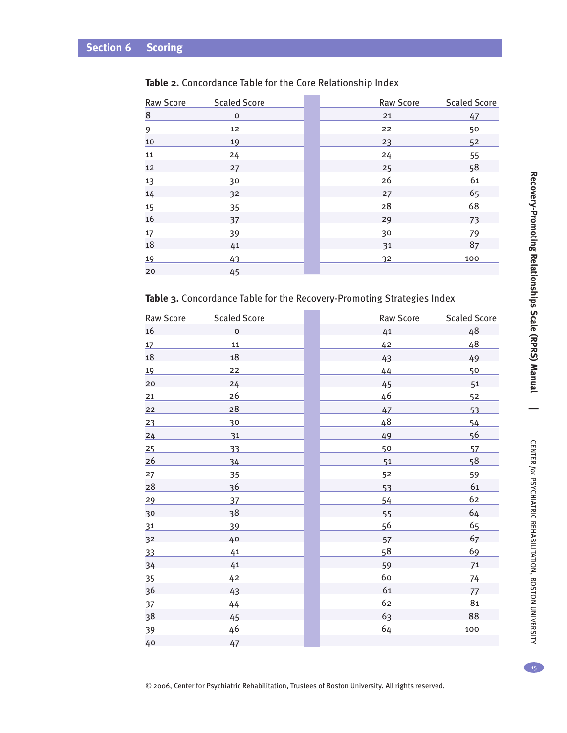| <b>Raw Score</b> | <b>Scaled Score</b> | <b>Raw Score</b> | <b>Scaled Score</b> |
|------------------|---------------------|------------------|---------------------|
| 8                | $\mathbf 0$         | 21               | 47                  |
| 9                | 12                  | 22               | 50                  |
| 10               | 19                  | 23               | 5 <sup>2</sup>      |
| 11               | 24                  | 24               | 55                  |
| 12               | 27                  | 25               | 58                  |
| <u>13</u>        | 30                  | 26               | 61                  |
| 14               | 32                  | 27               | 65                  |
| 15               | 35                  | 28               | 68                  |
| 16               | 37                  | 29               | 73                  |
| 17               | 39                  | 30               | 79                  |
| <b>18</b>        | 41                  | 31               | 87                  |
| 19               | 43                  | 32               | 100                 |
| 20               | 45                  |                  |                     |

## **Table 2.** Concordance Table for the Core Relationship Index

## **Table 3.** Concordance Table for the Recovery-Promoting Strategies Index

| Raw Score      | <b>Scaled Score</b> | Raw Score | <b>Scaled Score</b> |
|----------------|---------------------|-----------|---------------------|
| 16             | $\mathbf O$         | 41        | 48                  |
| 17             | 11                  | 42        | 48                  |
| 18             | 18                  | 43        | 49                  |
| 19             | 22                  | 44        | 50                  |
| 20             | 24                  | 45        | 51                  |
| 21             | 26                  | 46        | 52                  |
| 22             | 28                  | 47        | 53                  |
| 23             | 30                  | 48        | 54                  |
| 24             | 31                  | 49        | 56                  |
| 25             | 33                  | 50        | 57                  |
| 26             | 34                  | 51        | 58                  |
| 27             | 35                  | 52        | 59                  |
| 28             | 36                  | 53        | 61                  |
| 29             | 37                  | 54        | 62                  |
| 30             | 38                  | 55        | 64                  |
| 31             | 39                  | 56        | 65                  |
| 3 <sup>2</sup> | 40                  | 57        | 67                  |
| 33             | 41                  | 58        | 69                  |
| 34             | 41                  | 59        | 71                  |
| 35             | 42                  | 60        | 74                  |
| 36             | 43                  | 61        | 77                  |
| 37             | 44                  | 62        | 81                  |
| 38             | 45                  | 63        | 88                  |
| 39             | 46                  | 64        | 100                 |
| 40             | 47                  |           |                     |

**Reco**

15

**|**

© 2006, Center for Psychiatric Rehabilitation, Trustees of Boston University. All rights reserved.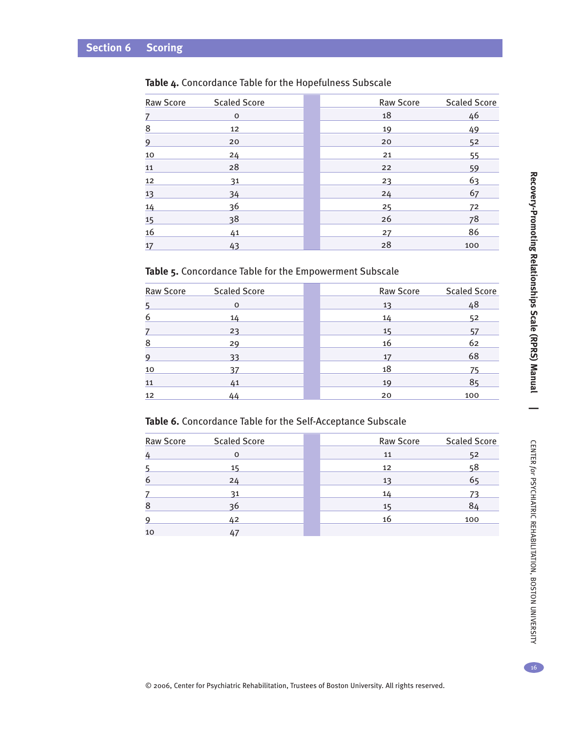| <b>Raw Score</b> | <b>Scaled Score</b> | Raw Score | <b>Scaled Score</b> |
|------------------|---------------------|-----------|---------------------|
| 7                | $\mathbf 0$         | 18        | 46                  |
| 8                | 12                  | 19        | 49                  |
| 9                | 20                  | 20        | 52                  |
| 10               | 24                  | 21        | 55                  |
| 11               | 28                  | 22        | 59                  |
| 12               | 31                  | 23        | 63                  |
| 13               | 34                  | 24        | 67                  |
| 14               | 36                  | 25        | 72                  |
| 15               | 38                  | 26        | 78                  |
| 16               | 41                  | 27        | 86                  |
| 17               | 43                  | 28        | 100                 |

# **Table 4.** Concordance Table for the Hopefulness Subscale

## **Table 5.** Concordance Table for the Empowerment Subscale

| Raw Score | <b>Scaled Score</b> | Raw Score | <b>Scaled Score</b> |
|-----------|---------------------|-----------|---------------------|
|           | $\mathbf 0$         | 13        | 48                  |
| 6         | 14                  | 14        | 52                  |
|           | 23                  | 15        | 57                  |
| 8         | 29                  | 16        | 62                  |
| 9         | 33                  | 17        | 68                  |
| 10        | 37                  | 18        | 75                  |
| 11        | 41                  | 19        | 85                  |
| 12        | 44                  | 20        | 100                 |

#### **Table 6.** Concordance Table for the Self-Acceptance Subscale

| Raw Score | <b>Scaled Score</b> | <b>Raw Score</b> | <b>Scaled Score</b> |
|-----------|---------------------|------------------|---------------------|
|           | $\Omega$            | 11               | 52                  |
|           | 15                  | 12               | 58                  |
| 6         | 24                  | 13               | 65                  |
|           | 31                  | 14               |                     |
| 8         | 36                  | 15               | 84                  |
| q         | 42                  | 16               | 100                 |
| 10        |                     |                  |                     |

16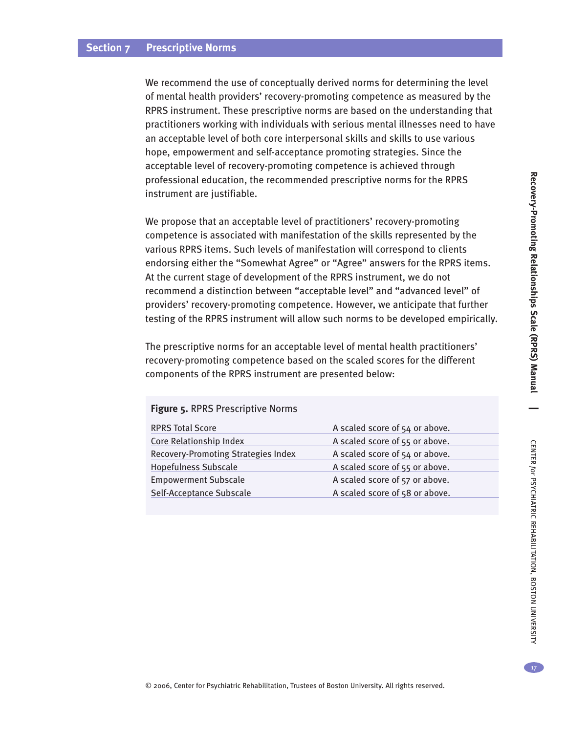## **Section 7 Prescriptive Norms**

We recommend the use of conceptually derived norms for determining the level of mental health providers' recovery-promoting competence as measured by the RPRS instrument. These prescriptive norms are based on the understanding that practitioners working with individuals with serious mental illnesses need to have an acceptable level of both core interpersonal skills and skills to use various hope, empowerment and self-acceptance promoting strategies. Since the acceptable level of recovery-promoting competence is achieved through professional education, the recommended prescriptive norms for the RPRS instrument are justifiable.

We propose that an acceptable level of practitioners' recovery-promoting competence is associated with manifestation of the skills represented by the various RPRS items. Such levels of manifestation will correspond to clients endorsing either the "Somewhat Agree" or "Agree" answers for the RPRS items. At the current stage of development of the RPRS instrument, we do not recommend a distinction between "acceptable level" and "advanced level" of providers' recovery-promoting competence. However, we anticipate that further testing of the RPRS instrument will allow such norms to be developed empirically.

The prescriptive norms for an acceptable level of mental health practitioners' recovery-promoting competence based on the scaled scores for the different components of the RPRS instrument are presented below:

#### **Figure 5.** RPRS Prescriptive Norms

| A scaled score of 54 or above. |
|--------------------------------|
| A scaled score of 55 or above. |
| A scaled score of 54 or above. |
| A scaled score of 55 or above. |
| A scaled score of 57 or above. |
| A scaled score of 58 or above. |
|                                |

17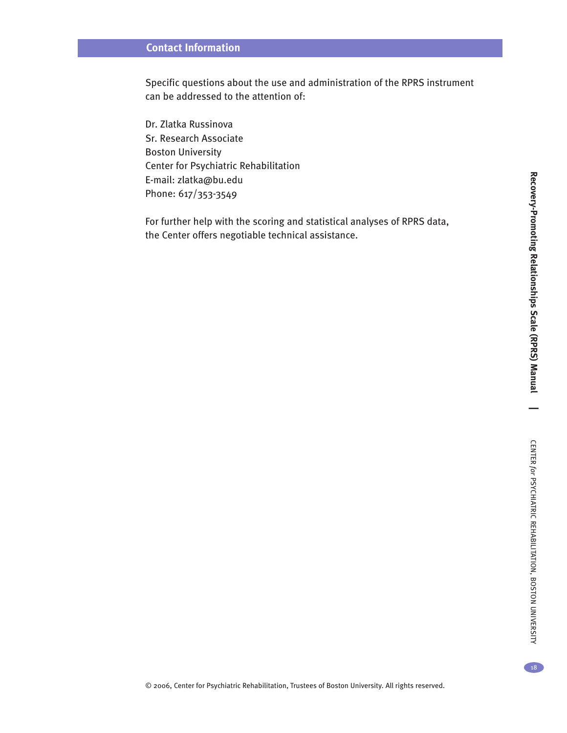# **Contact Information**

Specific questions about the use and administration of the RPRS instrument can be addressed to the attention of:

Dr. Zlatka Russinova Sr. Research Associate Boston University Center for Psychiatric Rehabilitation E-mail: zlatka@bu.edu Phone: 617/353-3549

For further help with the scoring and statistical analyses of RPRS data, the Center offers negotiable technical assistance.

REHABILITATION,

BOSTON

UNIVERSITY

18

**Reco**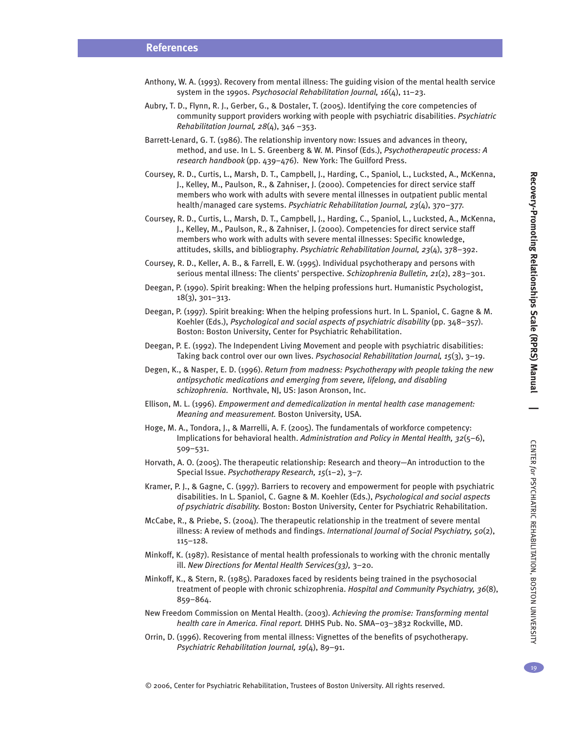CENTER

*for*

PSYCHIATRIC

REHABILITATION,

BOSTON

UNIVERSITY

- Anthony, W. A. (1993). Recovery from mental illness: The guiding vision of the mental health service system in the 1990s. *Psychosocial Rehabilitation Journal, 16*(4), 11–23.
- Aubry, T. D., Flynn, R. J., Gerber, G., & Dostaler, T. (2005). Identifying the core competencies of community support providers working with people with psychiatric disabilities. *Psychiatric Rehabilitation Journal, 28*(4), 346 –353.
- Barrett-Lenard, G. T. (1986). The relationship inventory now: Issues and advances in theory, method, and use. In L. S. Greenberg & W. M. Pinsof (Eds.), *Psychotherapeutic process: A research handbook* (pp. 439–476). New York: The Guilford Press.
- Coursey, R. D., Curtis, L., Marsh, D. T., Campbell, J., Harding, C., Spaniol, L., Lucksted, A., McKenna, J., Kelley, M., Paulson, R., & Zahniser, J. (2000). Competencies for direct service staff members who work with adults with severe mental illnesses in outpatient public mental health/managed care systems. *Psychiatric Rehabilitation Journal, 23*(4), 370–377.
- Coursey, R. D., Curtis, L., Marsh, D. T., Campbell, J., Harding, C., Spaniol, L., Lucksted, A., McKenna, J., Kelley, M., Paulson, R., & Zahniser, J. (2000). Competencies for direct service staff members who work with adults with severe mental illnesses: Specific knowledge, attitudes, skills, and bibliography. *Psychiatric Rehabilitation Journal, 23*(4), 378–392.
- Coursey, R. D., Keller, A. B., & Farrell, E. W. (1995). Individual psychotherapy and persons with serious mental illness: The clients' perspective. *Schizophrenia Bulletin, 21*(2), 283–301.
- Deegan, P. (1990). Spirit breaking: When the helping professions hurt. Humanistic Psychologist, 18(3), 301–313.
- Deegan, P. (1997). Spirit breaking: When the helping professions hurt. In L. Spaniol, C. Gagne & M. Koehler (Eds.), *Psychological and social aspects of psychiatric disability* (pp. 348–357). Boston: Boston University, Center for Psychiatric Rehabilitation.
- Deegan, P. E. (1992). The Independent Living Movement and people with psychiatric disabilities: Taking back control over our own lives. *Psychosocial Rehabilitation Journal, 15*(3), 3–19.
- Degen, K., & Nasper, E. D. (1996). *Return from madness: Psychotherapy with people taking the new antipsychotic medications and emerging from severe, lifelong, and disabling schizophrenia.* Northvale, NJ, US: Jason Aronson, Inc.
- Ellison, M. L. (1996). *Empowerment and demedicalization in mental health case management: Meaning and measurement.* Boston University, USA.
- Hoge, M. A., Tondora, J., & Marrelli, A. F. (2005). The fundamentals of workforce competency: Implications for behavioral health. *Administration and Policy in Mental Health, 32*(5–6), 509–531.
- Horvath, A. O. (2005). The therapeutic relationship: Research and theory—An introduction to the Special Issue. *Psychotherapy Research, 15*(1–2), 3–7.
- Kramer, P. J., & Gagne, C. (1997). Barriers to recovery and empowerment for people with psychiatric disabilities. In L. Spaniol, C. Gagne & M. Koehler (Eds.), *Psychological and social aspects of psychiatric disability.* Boston: Boston University, Center for Psychiatric Rehabilitation.
- McCabe, R., & Priebe, S. (2004). The therapeutic relationship in the treatment of severe mental illness: A review of methods and findings. *International Journal of Social Psychiatry, 50*(2), 115–128.
- Minkoff, K. (1987). Resistance of mental health professionals to working with the chronic mentally ill. *New Directions for Mental Health Services(33),* 3–20.
- Minkoff, K., & Stern, R. (1985). Paradoxes faced by residents being trained in the psychosocial treatment of people with chronic schizophrenia. *Hospital and Community Psychiatry, 36*(8), 859–864.
- New Freedom Commission on Mental Health. (2003). *Achieving the promise: Transforming mental health care in America. Final report.* DHHS Pub. No. SMA–03–3832 Rockville, MD.
- Orrin, D. (1996). Recovering from mental illness: Vignettes of the benefits of psychotherapy. *Psychiatric Rehabilitation Journal, 19*(4), 89–91.

© 2006, Center for Psychiatric Rehabilitation, Trustees of Boston University. All rights reserved.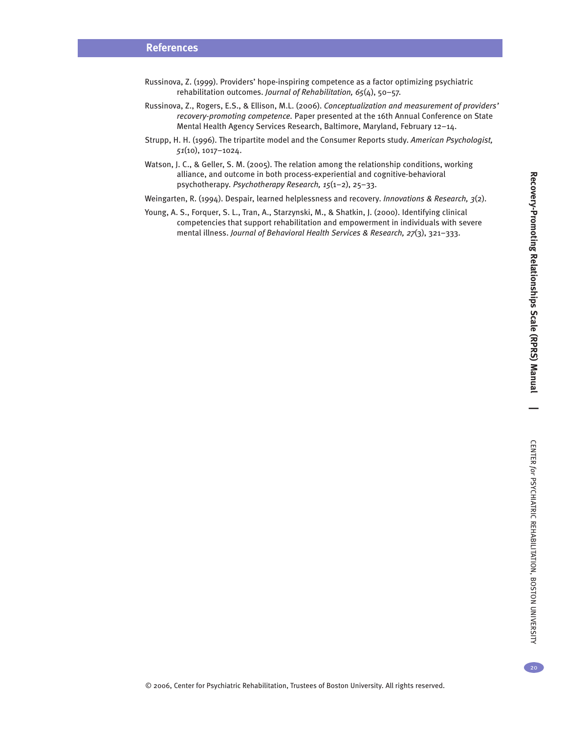**|**

- Russinova, Z. (1999). Providers' hope-inspiring competence as a factor optimizing psychiatric rehabilitation outcomes. *Journal of Rehabilitation, 65*(4), 50–57.
- Russinova, Z., Rogers, E.S., & Ellison, M.L. (2006). *Conceptualization and measurement of providers' recovery-promoting competence.* Paper presented at the 16th Annual Conference on State Mental Health Agency Services Research, Baltimore, Maryland, February 12–14.
- Strupp, H. H. (1996). The tripartite model and the Consumer Reports study. *American Psychologist, 51*(10), 1017–1024.
- Watson, J. C., & Geller, S. M. (2005). The relation among the relationship conditions, working alliance, and outcome in both process-experiential and cognitive-behavioral psychotherapy. *Psychotherapy Research, 15*(1–2), 25–33.
- Weingarten, R. (1994). Despair, learned helplessness and recovery. *Innovations & Research, 3*(2).
- Young, A. S., Forquer, S. L., Tran, A., Starzynski, M., & Shatkin, J. (2000). Identifying clinical competencies that support rehabilitation and empowerment in individuals with severe mental illness. *Journal of Behavioral Health Services & Research, 27*(3), 321–333.

 $20<sup>2</sup>$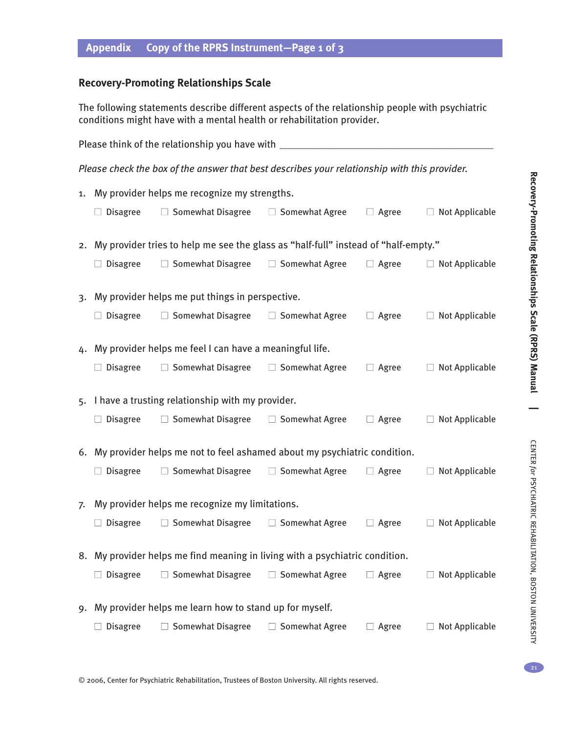# **Appendix Copy of the RPRS Instrument—Page 1 0f 3**

# **Recovery-Promoting Relationships Scale**

The following statements describe different aspects of the relationship people with psychiatric conditions might have with a mental health or rehabilitation provider.

|    | Please think of the relationship you have with __                                                        |                                                                              |                                                     |              |                       |  |  |  |
|----|----------------------------------------------------------------------------------------------------------|------------------------------------------------------------------------------|-----------------------------------------------------|--------------|-----------------------|--|--|--|
|    | Please check the box of the answer that best describes your relationship with this provider.             |                                                                              |                                                     |              |                       |  |  |  |
| 1. | My provider helps me recognize my strengths.                                                             |                                                                              |                                                     |              |                       |  |  |  |
|    | $\Box$ Disagree                                                                                          | $\Box$ Somewhat Disagree                                                     | □ Somewhat Agree                                    | $\Box$ Agree | $\Box$ Not Applicable |  |  |  |
|    | 2. My provider tries to help me see the glass as "half-full" instead of "half-empty."                    |                                                                              |                                                     |              |                       |  |  |  |
|    | $\Box$ Disagree                                                                                          | $\Box$ Somewhat Disagree                                                     | $\Box$ Somewhat Agree                               | $\Box$ Agree | $\Box$ Not Applicable |  |  |  |
|    |                                                                                                          | 3. My provider helps me put things in perspective.                           |                                                     |              |                       |  |  |  |
|    | <b>Disagree</b>                                                                                          | $\Box$ Somewhat Disagree $\Box$ Somewhat Agree                               |                                                     | $\Box$ Agree | $\Box$ Not Applicable |  |  |  |
|    |                                                                                                          | 4. My provider helps me feel I can have a meaningful life.                   |                                                     |              |                       |  |  |  |
|    | <b>Disagree</b><br>$\Box$ Somewhat Disagree<br>□ Somewhat Agree<br>$\Box$ Not Applicable<br>$\Box$ Agree |                                                                              |                                                     |              |                       |  |  |  |
|    |                                                                                                          |                                                                              | 5. I have a trusting relationship with my provider. |              |                       |  |  |  |
|    | $\Box$ Disagree                                                                                          | $\Box$ Somewhat Disagree                                                     | □ Somewhat Agree                                    | $\Box$ Agree | $\Box$ Not Applicable |  |  |  |
|    |                                                                                                          | 6. My provider helps me not to feel ashamed about my psychiatric condition.  |                                                     |              |                       |  |  |  |
|    | $\Box$ Disagree                                                                                          | $\Box$ Somewhat Disagree                                                     | □ Somewhat Agree                                    | $\Box$ Agree | $\Box$ Not Applicable |  |  |  |
| 7. |                                                                                                          | My provider helps me recognize my limitations.                               |                                                     |              |                       |  |  |  |
|    | $\Box$ Disagree                                                                                          | $\Box$ Somewhat Disagree                                                     | □ Somewhat Agree                                    | $\Box$ Agree | $\Box$ Not Applicable |  |  |  |
|    |                                                                                                          | 8. My provider helps me find meaning in living with a psychiatric condition. |                                                     |              |                       |  |  |  |
|    | <b>Disagree</b>                                                                                          | Somewhat Disagree<br>$\Box$                                                  | $\Box$ Somewhat Agree                               | $\Box$ Agree | $\Box$ Not Applicable |  |  |  |
| 9. |                                                                                                          | My provider helps me learn how to stand up for myself.                       |                                                     |              |                       |  |  |  |
|    | Somewhat Disagree<br><b>Disagree</b><br><b>Somewhat Agree</b><br>Not Applicable<br>Agree                 |                                                                              |                                                     |              |                       |  |  |  |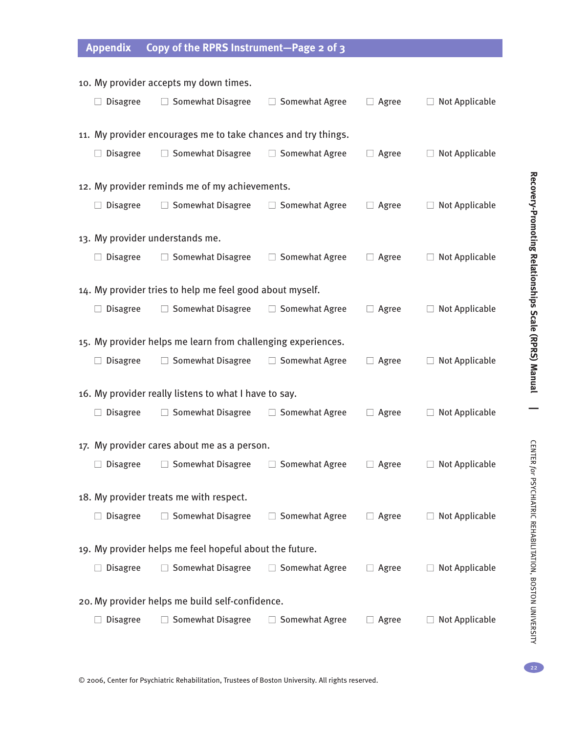# **Appendix Copy of the RPRS Instrument—Page 2 0f 3**

| 10. My provider accepts my down times.                        |                                                              |                       |              |                       |  |  |  |  |
|---------------------------------------------------------------|--------------------------------------------------------------|-----------------------|--------------|-----------------------|--|--|--|--|
| <b>Disagree</b>                                               | $\Box$ Somewhat Disagree                                     | $\Box$ Somewhat Agree | $\Box$ Agree | $\Box$ Not Applicable |  |  |  |  |
| 11. My provider encourages me to take chances and try things. |                                                              |                       |              |                       |  |  |  |  |
| $\Box$ Disagree                                               | $\Box$ Somewhat Disagree                                     | $\Box$ Somewhat Agree | $\Box$ Agree | $\Box$ Not Applicable |  |  |  |  |
| 12. My provider reminds me of my achievements.                |                                                              |                       |              |                       |  |  |  |  |
| <b>Disagree</b>                                               | $\Box$ Somewhat Disagree                                     | $\Box$ Somewhat Agree | $\Box$ Agree | $\Box$ Not Applicable |  |  |  |  |
| 13. My provider understands me.                               |                                                              |                       |              |                       |  |  |  |  |
| <b>Disagree</b>                                               | $\Box$ Somewhat Disagree                                     | $\Box$ Somewhat Agree | $\Box$ Agree | $\Box$ Not Applicable |  |  |  |  |
| 14. My provider tries to help me feel good about myself.      |                                                              |                       |              |                       |  |  |  |  |
| <b>Disagree</b>                                               | $\Box$ Somewhat Disagree                                     | $\Box$ Somewhat Agree | $\Box$ Agree | $\Box$ Not Applicable |  |  |  |  |
|                                                               | 15. My provider helps me learn from challenging experiences. |                       |              |                       |  |  |  |  |
| $\Box$ Disagree                                               | $\Box$ Somewhat Disagree                                     | $\Box$ Somewhat Agree | $\Box$ Agree | $\Box$ Not Applicable |  |  |  |  |
| 16. My provider really listens to what I have to say.         |                                                              |                       |              |                       |  |  |  |  |
| <b>Disagree</b>                                               | $\Box$ Somewhat Disagree                                     | $\Box$ Somewhat Agree | $\Box$ Agree | $\Box$ Not Applicable |  |  |  |  |
| 17. My provider cares about me as a person.                   |                                                              |                       |              |                       |  |  |  |  |
| <b>Disagree</b>                                               | $\Box$ Somewhat Disagree                                     | $\Box$ Somewhat Agree | $\Box$ Agree | $\Box$ Not Applicable |  |  |  |  |
| 18. My provider treats me with respect.                       |                                                              |                       |              |                       |  |  |  |  |
| <b>Disagree</b>                                               | <b>Somewhat Disagree</b>                                     | □ Somewhat Agree      | $\Box$ Agree | Not Applicable        |  |  |  |  |
| 19. My provider helps me feel hopeful about the future.       |                                                              |                       |              |                       |  |  |  |  |
| <b>Disagree</b>                                               | $\Box$ Somewhat Disagree                                     | $\Box$ Somewhat Agree | $\Box$ Agree | $\Box$ Not Applicable |  |  |  |  |
| 20. My provider helps me build self-confidence.               |                                                              |                       |              |                       |  |  |  |  |
| <b>Disagree</b>                                               | <b>Somewhat Disagree</b><br>$\Box$                           | □ Somewhat Agree      | $\Box$ Agree | $\Box$ Not Applicable |  |  |  |  |

**Scale (R P R S) M anual |** CENTER *for* **PSYCHIATRIC** REHABILITATION,

**Reco**

**very-Pro m**

**oting**

**Relationships**

BOSTON